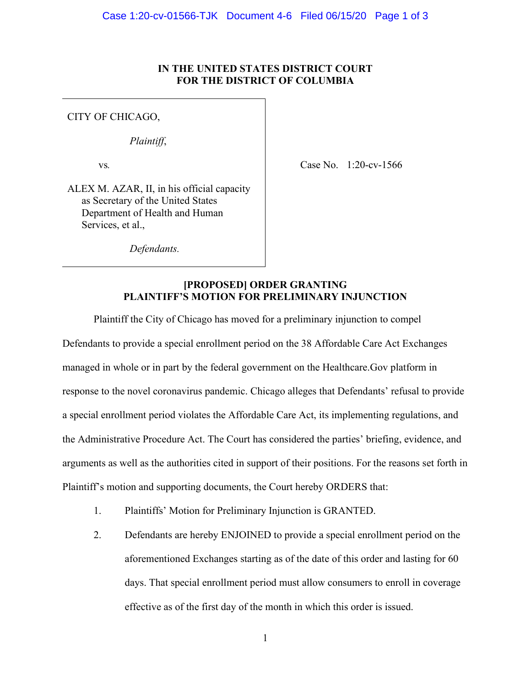## **IN THE UNITED STATES DISTRICT COURT FOR THE DISTRICT OF COLUMBIA**

## CITY OF CHICAGO,

*Plaintiff*,

vs*.*

Case No. 1:20-cv-1566

ALEX M. AZAR, II, in his official capacity as Secretary of the United States Department of Health and Human Services, et al.,

*Defendants.*

## **[PROPOSED] ORDER GRANTING PLAINTIFF'S MOTION FOR PRELIMINARY INJUNCTION**

Plaintiff the City of Chicago has moved for a preliminary injunction to compel Defendants to provide a special enrollment period on the 38 Affordable Care Act Exchanges managed in whole or in part by the federal government on the Healthcare.Gov platform in response to the novel coronavirus pandemic. Chicago alleges that Defendants' refusal to provide a special enrollment period violates the Affordable Care Act, its implementing regulations, and the Administrative Procedure Act. The Court has considered the parties' briefing, evidence, and arguments as well as the authorities cited in support of their positions. For the reasons set forth in Plaintiff's motion and supporting documents, the Court hereby ORDERS that:

- 1. Plaintiffs' Motion for Preliminary Injunction is GRANTED.
- 2. Defendants are hereby ENJOINED to provide a special enrollment period on the aforementioned Exchanges starting as of the date of this order and lasting for 60 days. That special enrollment period must allow consumers to enroll in coverage effective as of the first day of the month in which this order is issued.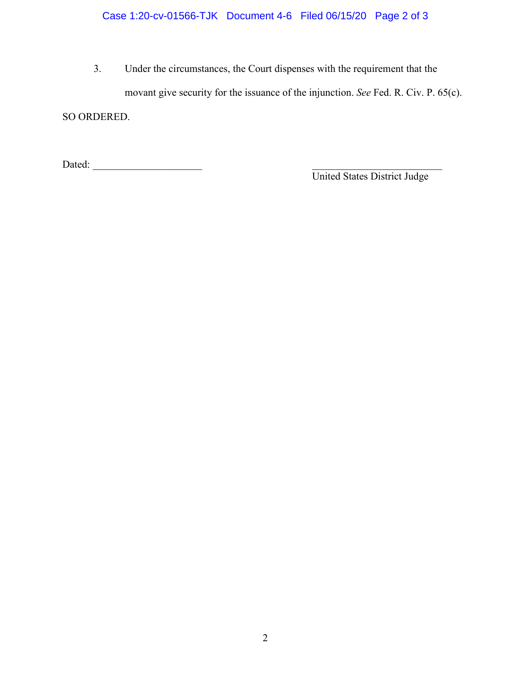3. Under the circumstances, the Court dispenses with the requirement that the movant give security for the issuance of the injunction. *See* Fed. R. Civ. P. 65(c). SO ORDERED.

Dated: \_\_\_\_\_\_\_\_\_\_\_\_\_\_\_\_\_\_\_\_\_ \_\_\_\_\_\_\_\_\_\_\_\_\_\_\_\_\_\_\_\_\_\_\_\_\_

United States District Judge